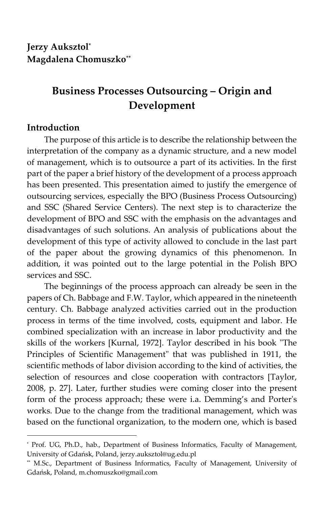# **Business Processes Outsourcing – Origin and Development**

# **Introduction**

1

The purpose of this article is to describe the relationship between the interpretation of the company as a dynamic structure, and a new model of management, which is to outsource a part of its activities. In the first part of the paper a brief history of the development of a process approach has been presented. This presentation aimed to justify the emergence of outsourcing services, especially the BPO (Business Process Outsourcing) and SSC (Shared Service Centers). The next step is to characterize the development of BPO and SSC with the emphasis on the advantages and disadvantages of such solutions. An analysis of publications about the development of this type of activity allowed to conclude in the last part of the paper about the growing dynamics of this phenomenon. In addition, it was pointed out to the large potential in the Polish BPO services and SSC.

The beginnings of the process approach can already be seen in the papers of Ch. Babbage and F.W. Taylor, which appeared in the nineteenth century. Ch. Babbage analyzed activities carried out in the production process in terms of the time involved, costs, equipment and labor. He combined specialization with an increase in labor productivity and the skills of the workers [Kurnal, 1972]. Taylor described in his book "The Principles of Scientific Management" that was published in 1911, the scientific methods of labor division according to the kind of activities, the selection of resources and close cooperation with contractors [Taylor, 2008, p. 27]. Later, further studies were coming closer into the present form of the process approach; these were i.a. Demming's and Porter's works. Due to the change from the traditional management, which was based on the functional organization, to the modern one, which is based

<sup>\*</sup> Prof. UG, Ph.D., hab., Department of Business Informatics, Faculty of Management, University of Gdańsk, Poland, jerzy.auksztol@ug.edu.pl

<sup>\*\*</sup> M.Sc., Department of Business Informatics, Faculty of Management, University of Gdańsk, Poland, m.chomuszko@gmail.com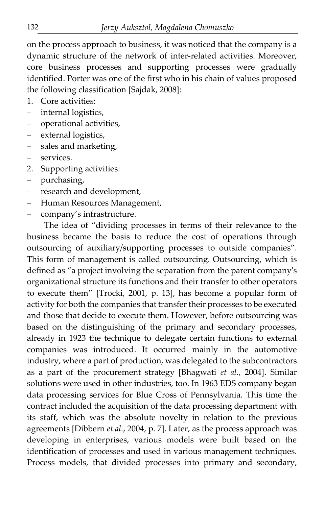on the process approach to business, it was noticed that the company is a dynamic structure of the network of inter-related activities. Moreover, core business processes and supporting processes were gradually identified. Porter was one of the first who in his chain of values proposed the following classification [Sajdak, 2008]:

1. Core activities:

- internal logistics,
- operational activities,
- external logistics,
- sales and marketing,
- services.
- 2. Supporting activities:
- purchasing,
- research and development,
- Human Resources Management,
- company's infrastructure.

The idea of "dividing processes in terms of their relevance to the business became the basis to reduce the cost of operations through outsourcing of auxiliary/supporting processes to outside companies". This form of management is called outsourcing. Outsourcing, which is defined as "a project involving the separation from the parent company's organizational structure its functions and their transfer to other operators to execute them" [Trocki, 2001, p. 13], has become a popular form of activity for both the companies that transfer their processes to be executed and those that decide to execute them. However, before outsourcing was based on the distinguishing of the primary and secondary processes, already in 1923 the technique to delegate certain functions to external companies was introduced. It occurred mainly in the automotive industry, where a part of production, was delegated to the subcontractors as a part of the procurement strategy [Bhagwati *et al.*, 2004]. Similar solutions were used in other industries, too. In 1963 EDS company began data processing services for Blue Cross of Pennsylvania. This time the contract included the acquisition of the data processing department with its staff, which was the absolute novelty in relation to the previous agreements [Dibbern *et al.*, 2004, p. 7]. Later, as the process approach was developing in enterprises, various models were built based on the identification of processes and used in various management techniques. Process models, that divided processes into primary and secondary,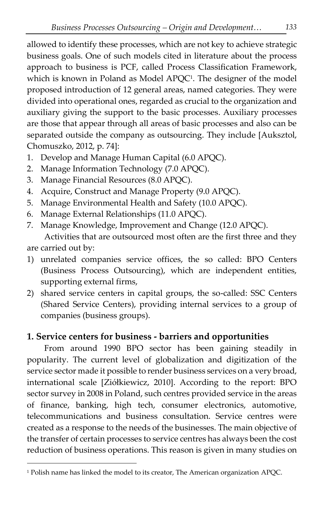allowed to identify these processes, which are not key to achieve strategic business goals. One of such models cited in literature about the process approach to business is PCF, called Process Classification Framework, which is known in Poland as Model APQC<sup>1</sup> . The designer of the model proposed introduction of 12 general areas, named categories. They were divided into operational ones, regarded as crucial to the organization and auxiliary giving the support to the basic processes. Auxiliary processes are those that appear through all areas of basic processes and also can be separated outside the company as outsourcing. They include [Auksztol, Chomuszko, 2012, p. 74]:

- 1. Develop and Manage Human Capital (6.0 APQC).
- 2. Manage Information Technology (7.0 APQC).
- 3. Manage Financial Resources (8.0 APQC).
- 4. Acquire, Construct and Manage Property (9.0 APQC).
- 5. Manage Environmental Health and Safety (10.0 APQC).
- 6. Manage External Relationships (11.0 APQC).
- 7. Manage Knowledge, Improvement and Change (12.0 APQC).

Activities that are outsourced most often are the first three and they are carried out by:

- 1) unrelated companies service offices, the so called: BPO Centers (Business Process Outsourcing), which are independent entities, supporting external firms,
- 2) shared service centers in capital groups, the so-called: SSC Centers (Shared Service Centers), providing internal services to a group of companies (business groups).

# **1. Service centers for business - barriers and opportunities**

From around 1990 BPO sector has been gaining steadily in popularity. The current level of globalization and digitization of the service sector made it possible to render business services on a very broad, international scale [Ziółkiewicz, 2010]. According to the report: BPO sector survey in 2008 in Poland, such centres provided service in the areas of finance, banking, high tech, consumer electronics, automotive, telecommunications and business consultation. Service centres were created as a response to the needs of the businesses. The main objective of the transfer of certain processes to service centres has always been the cost reduction of business operations. This reason is given in many studies on

1

<sup>1</sup> Polish name has linked the model to its creator, The American organization APQC.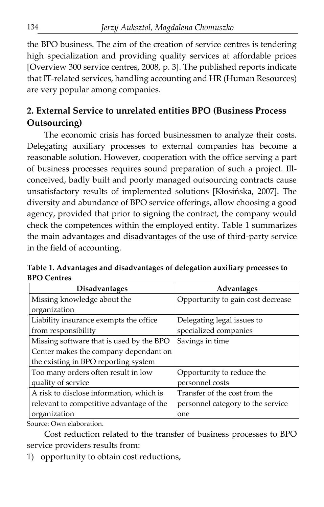the BPO business. The aim of the creation of service centres is tendering high specialization and providing quality services at affordable prices [Overview 300 service centres, 2008, p. 3]. The published reports indicate that IT-related services, handling accounting and HR (Human Resources) are very popular among companies.

# **2. External Service to unrelated entities BPO (Business Process Outsourcing)**

The economic crisis has forced businessmen to analyze their costs. Delegating auxiliary processes to external companies has become a reasonable solution. However, cooperation with the office serving a part of business processes requires sound preparation of such a project. Illconceived, badly built and poorly managed outsourcing contracts cause unsatisfactory results of implemented solutions [Kłosińska, 2007]. The diversity and abundance of BPO service offerings, allow choosing a good agency, provided that prior to signing the contract, the company would check the competences within the employed entity. Table 1 summarizes the main advantages and disadvantages of the use of third-party service in the field of accounting.

**Table 1. Advantages and disadvantages of delegation auxiliary processes to BPO Centres**

| <b>Disadvantages</b>                     | Advantages                        |
|------------------------------------------|-----------------------------------|
| Missing knowledge about the              | Opportunity to gain cost decrease |
| organization                             |                                   |
| Liability insurance exempts the office   | Delegating legal issues to        |
| from responsibility                      | specialized companies             |
| Missing software that is used by the BPO | Savings in time                   |
| Center makes the company dependant on    |                                   |
| the existing in BPO reporting system     |                                   |
| Too many orders often result in low      | Opportunity to reduce the         |
| quality of service                       | personnel costs                   |
| A risk to disclose information, which is | Transfer of the cost from the     |
| relevant to competitive advantage of the | personnel category to the service |
| organization                             | one                               |

Source: Own elaboration.

Cost reduction related to the transfer of business processes to BPO service providers results from:

1) opportunity to obtain cost reductions,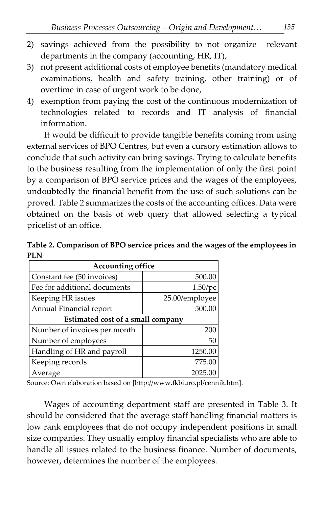- 2) savings achieved from the possibility to not organize relevant departments in the company (accounting, HR, IT),
- 3) not present additional costs of employee benefits (mandatory medical examinations, health and safety training, other training) or of overtime in case of urgent work to be done,
- 4) exemption from paying the cost of the continuous modernization of technologies related to records and IT analysis of financial information.

It would be difficult to provide tangible benefits coming from using external services of BPO Centres, but even a cursory estimation allows to conclude that such activity can bring savings. Trying to calculate benefits to the business resulting from the implementation of only the first point by a comparison of BPO service prices and the wages of the employees, undoubtedly the financial benefit from the use of such solutions can be proved. Table 2 summarizes the costs of the accounting offices. Data were obtained on the basis of web query that allowed selecting a typical pricelist of an office.

**Table 2. Comparison of BPO service prices and the wages of the employees in PLN**

| <b>Accounting office</b>          |                |  |  |  |  |
|-----------------------------------|----------------|--|--|--|--|
| Constant fee (50 invoices)        | 500.00         |  |  |  |  |
| Fee for additional documents      | $1.50$ /pc     |  |  |  |  |
| Keeping HR issues                 | 25.00/employee |  |  |  |  |
| Annual Financial report           | 500.00         |  |  |  |  |
| Estimated cost of a small company |                |  |  |  |  |
| Number of invoices per month      | 200            |  |  |  |  |
| Number of employees               | 50             |  |  |  |  |
| Handling of HR and payroll        | 1250.00        |  |  |  |  |
| Keeping records                   | 775.00         |  |  |  |  |
| Average                           | 2025.00        |  |  |  |  |

Source: Own elaboration based on [http://www.fkbiuro.pl/cennik.htm].

Wages of accounting department staff are presented in Table 3. It should be considered that the average staff handling financial matters is low rank employees that do not occupy independent positions in small size companies. They usually employ financial specialists who are able to handle all issues related to the business finance. Number of documents, however, determines the number of the employees.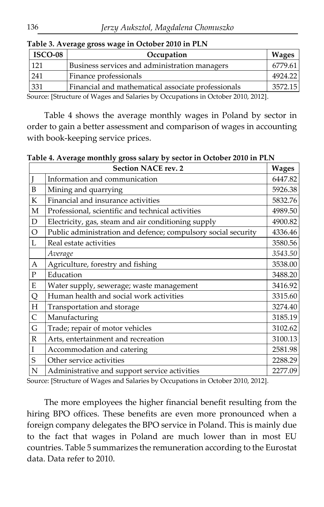| ISCO-08 | Occupation                                         |         |
|---------|----------------------------------------------------|---------|
| 121     | Business services and administration managers      | 6779.61 |
| 241     | Finance professionals                              | 4924.22 |
| 331     | Financial and mathematical associate professionals | 3572.15 |

#### **Table 3. Average gross wage in October 2010 in PLN**

Source: [Structure of Wages and Salaries by Occupations in October 2010, 2012].

Table 4 shows the average monthly wages in Poland by sector in order to gain a better assessment and comparison of wages in accounting with book-keeping service prices.

**Table 4. Average monthly gross salary by sector in October 2010 in PLN**

|              | <b>Section NACE rev. 2</b>                                    | <b>Wages</b> |
|--------------|---------------------------------------------------------------|--------------|
|              | Information and communication                                 | 6447.82      |
| $\mathbf B$  | Mining and quarrying                                          | 5926.38      |
| ${\bf K}$    | Financial and insurance activities                            | 5832.76      |
| $\mathbf M$  | Professional, scientific and technical activities             | 4989.50      |
| $\mathbf D$  | Electricity, gas, steam and air conditioning supply           | 4900.82      |
| $\circ$      | Public administration and defence; compulsory social security | 4336.46      |
| L            | Real estate activities                                        | 3580.56      |
|              | Average                                                       | 3543.50      |
| $\mathbf{A}$ | Agriculture, forestry and fishing                             | 3538.00      |
| ${\bf P}$    | Education                                                     | 3488.20      |
| ${\bf E}$    | Water supply, sewerage; waste management                      | 3416.92      |
| Q            | Human health and social work activities                       | 3315.60      |
| H            | Transportation and storage                                    | 3274.40      |
| $\mathsf{C}$ | Manufacturing                                                 | 3185.19      |
| G            | Trade; repair of motor vehicles                               | 3102.62      |
| $\mathbb{R}$ | Arts, entertainment and recreation                            | 3100.13      |
| $\rm I$      | Accommodation and catering                                    | 2581.98      |
| S            | Other service activities                                      | 2288.29      |
| $\mathbb N$  | Administrative and support service activities                 | 2277.09      |

Source: [Structure of Wages and Salaries by Occupations in October 2010, 2012].

The more employees the higher financial benefit resulting from the hiring BPO offices. These benefits are even more pronounced when a foreign company delegates the BPO service in Poland. This is mainly due to the fact that wages in Poland are much lower than in most EU countries. Table 5 summarizes the remuneration according to the Eurostat data. Data refer to 2010.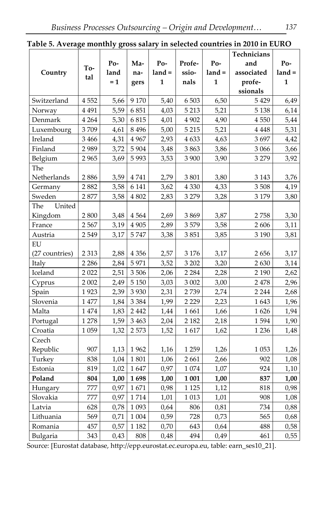|                |         |      |          |        |               |          | Technicians |          |
|----------------|---------|------|----------|--------|---------------|----------|-------------|----------|
|                |         | Po-  | Ma-      | $Po-$  | Profe-        | $Po-$    | and         | $Po-$    |
| Country        | To-     | land | na-      | land = | ssio-         | $land =$ | associated  | $land =$ |
|                | tal     | $=1$ | gers     | 1      | nals          | 1        | profe-      | 1        |
|                |         |      |          |        |               |          | ssionals    |          |
| Switzerland    | 4 5 5 2 | 5,66 | 9 1 7 0  | 5,40   | 6 503         | 6,50     | 5 4 2 9     | 6,49     |
| Norway         | 4 4 9 1 | 5,59 | 6851     | 4,03   | 5 2 1 3       | 5,21     | 5 1 38      | 6,14     |
| Denmark        | 4 2 6 4 | 5,30 | 6815     | 4,01   | 4 9 0 2       | 4,90     | 4 5 5 0     | 5,44     |
| Luxembourg     | 3709    | 4,61 | 8 4 9 6  | 5,00   | 5 2 1 5       | 5,21     | 4 4 4 8     | 5,31     |
| Ireland        | 3 4 6 6 | 4,31 | 4 9 6 7  | 2,93   | 4 6 3 3       | 4,63     | 3697        | 4,42     |
| Finland        | 2989    | 3,72 | 5 9 0 4  | 3,48   | 3863          | 3,86     | 3 0 6 6     | 3,66     |
| Belgium        | 2965    | 3,69 | 5993     | 3,53   | 3 900         | 3,90     | 3 2 7 9     | 3,92     |
| The            |         |      |          |        |               |          |             |          |
| Netherlands    | 2886    | 3,59 | 4 7 4 1  | 2,79   | 3801          | 3,80     | 3 1 4 3     | 3,76     |
| Germany        | 2882    | 3,58 | 6 1 4 1  | 3,62   | 4 3 3 0       | 4,33     | 3 5 0 8     | 4,19     |
| Sweden         | 2877    | 3,58 | 4 802    | 2,83   | 3 2 7 9       | 3,28     | 3 1 7 9     | 3,80     |
| The<br>United  |         |      |          |        |               |          |             |          |
| Kingdom        | 2800    | 3,48 | 4 5 6 4  | 2,69   | 3869          | 3,87     | 2758        | 3,30     |
| France         | 2 5 6 7 | 3,19 | 4 9 0 5  | 2,89   | 3579          | 3,58     | 2606        | 3,11     |
| Austria        | 2 5 4 9 | 3,17 | 5747     | 3,38   | 3851          | 3,85     | 3 1 9 0     | 3,81     |
| EU             |         |      |          |        |               |          |             |          |
| (27 countries) | 2 3 1 3 | 2,88 | 4 3 5 6  | 2,57   | 3 1 7 6       | 3,17     | 2656        | 3,17     |
| Italy          | 2 2 8 6 | 2,84 | 5 9 7 1  | 3,52   | 3 202         | 3,20     | 2630        | 3,14     |
| Iceland        | 2 0 2 2 | 2,51 | 3 506    | 2,06   | 2 2 8 4       | 2,28     | 2 1 9 0     | 2,62     |
| Cyprus         | 2 0 0 2 | 2,49 | $5\;150$ | 3,03   | 3 0 0 2       | 3,00     | 2 4 7 8     | 2,96     |
| Spain          | 1923    | 2,39 | 3 9 3 0  | 2,31   | 2739          | 2,74     | 2 2 4 4     | 2,68     |
| Slovenia       | 1 477   | 1,84 | 3 3 8 4  | 1,99   | 2 2 2 9       | 2,23     | 1643        | 1,96     |
| Malta          | 1474    | 1,83 | 2 4 4 2  | 1,44   | 1661          | 1,66     | 1626        | 1,94     |
| Portugal       | 1 2 7 8 | 1,59 | 3 4 6 3  | 2,04   | 2 1 8 2       | 2,18     | 1594        | 1,90     |
| Croatia        | 1 0 5 9 | 1,32 | 2 5 7 3  | 1,52   | 1617          | 1,62     | 1 2 3 6     | 1,48     |
| Czech          |         |      |          |        |               |          |             |          |
| Republic       | 907     | 1,13 | 1962     | 1,16   | 1 2 5 9       | 1,26     | 1 0 5 3     | 1,26     |
| Turkey         | 838     | 1,04 | $1\,801$ | 1,06   | 2661          | 2,66     | 902         | 1,08     |
| Estonia        | 819     | 1,02 | 1647     | 0,97   | $1\,074$      | 1,07     | 924         | 1,10     |
| Poland         | 804     | 1,00 | 1698     | 1,00   | ${\bf 1}$ 001 | 1,00     | 837         | 1,00     |
| Hungary        | 777     | 0,97 | 1671     | 0,98   | 1 1 2 5       | 1,12     | 818         | 0,98     |
| Slovakia       | 777     | 0,97 | 1714     | 1,01   | 1 0 1 3       | 1,01     | 908         | 1,08     |
| Latvia         | 628     | 0,78 | 1 0 9 3  | 0,64   | 806           | 0,81     | 734         | 0,88     |
| Lithuania      | 569     | 0,71 | $1\;004$ | 0,59   | 728           | 0,73     | 565         | 0,68     |
| Romania        | 457     | 0,57 | 1 1 8 2  | 0,70   | 643           | 0,64     | 488         | 0,58     |
| Bulgaria       | 343     | 0,43 | 808      | 0,48   | 494           | 0,49     | 461         | 0,55     |

#### **Table 5. Average monthly gross salary in selected countries in 2010 in EURO**

Source: [Eurostat database, http://epp.eurostat.ec.europa.eu, table: earn\_ses10\_21].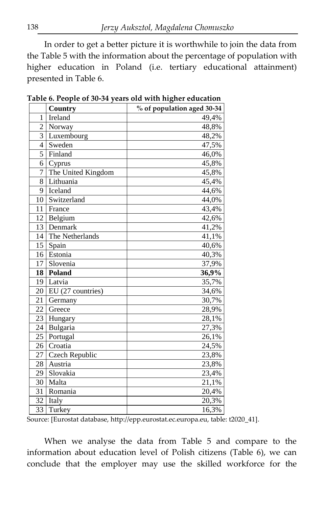In order to get a better picture it is worthwhile to join the data from the Table 5 with the information about the percentage of population with higher education in Poland (i.e. tertiary educational attainment) presented in Table 6.

|                 | Country            | % of population aged 30-34 |
|-----------------|--------------------|----------------------------|
| 1               | Ireland            | 49,4%                      |
| 2               | Norway             | 48,8%                      |
| 3               | Luxembourg         | 48,2%                      |
| 4               | Sweden             | 47,5%                      |
| 5               | Finland            | 46,0%                      |
| 6               | Cyprus             | 45,8%                      |
| 7               | The United Kingdom | 45,8%                      |
| 8               | Lithuania          | 45,4%                      |
| 9               | Iceland            | 44,6%                      |
| 10              | Switzerland        | 44,0%                      |
| 11              | France             | 43,4%                      |
| 12 <sub>1</sub> | Belgium            | 42,6%                      |
| 13              | Denmark            | 41,2%                      |
| 14              | The Netherlands    | 41,1%                      |
| 15              | Spain              | 40,6%                      |
| 16              | Estonia            | 40,3%                      |
| 17              | Slovenia           | 37,9%                      |
| 18              | Poland             | 36,9%                      |
|                 | 19 Latvia          | 35,7%                      |
| 20              | EU (27 countries)  | 34,6%                      |
| 21              | Germany            | 30,7%                      |
| 22              | Greece             | 28,9%                      |
| 23 I            | Hungary            | 28,1%                      |
| 24              | Bulgaria           | 27,3%                      |
| 25              | Portugal           | 26,1%                      |
| 26              | Croatia            | 24,5%                      |
| 27              | Czech Republic     | 23,8%                      |
| 28              | Austria            | 23,8%                      |
| 29              | Slovakia           | 23,4%                      |
| 30              | Malta              | 21,1%                      |
| 31              | Romania            | 20,4%                      |
| 32              | Italy              | 20,3%                      |
| 33              | Turkey             | 16,3%                      |

**Table 6. People of 30-34 years old with higher education**

Source: [Eurostat database, http://epp.eurostat.ec.europa.eu, table: t2020\_41].

When we analyse the data from Table 5 and compare to the information about education level of Polish citizens (Table 6), we can conclude that the employer may use the skilled workforce for the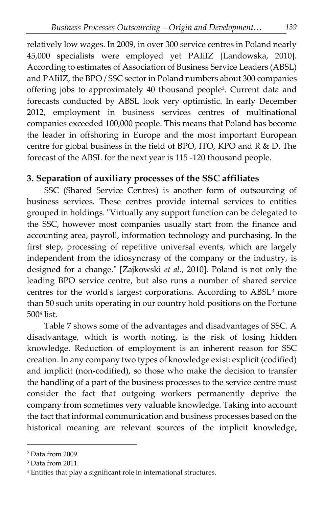relatively low wages. In 2009, in over 300 service centres in Poland nearly 45,000 specialists were employed yet PAIiIZ [Landowska, 2010]. According to estimates of Association of Business Service Leaders (ABSL) and PAIiIZ, the BPO / SSC sector in Poland numbers about 300 companies offering jobs to approximately 40 thousand people<sup>2</sup> . Current data and forecasts conducted by ABSL look very optimistic. In early December 2012, employment in business services centres of multinational companies exceeded 100,000 people. This means that Poland has become the leader in offshoring in Europe and the most important European centre for global business in the field of BPO, ITO, KPO and R & D. The forecast of the ABSL for the next year is 115 -120 thousand people.

# **3. Separation of auxiliary processes of the SSC affiliates**

SSC (Shared Service Centres) is another form of outsourcing of business services. These centres provide internal services to entities grouped in holdings. "Virtually any support function can be delegated to the SSC, however most companies usually start from the finance and accounting area, payroll, information technology and purchasing. In the first step, processing of repetitive universal events, which are largely independent from the idiosyncrasy of the company or the industry, is designed for a change." [Zajkowski *et al.*, 2010]. Poland is not only the leading BPO service centre, but also runs a number of shared service centres for the world's largest corporations. According to ABSL<sup>3</sup> more than 50 such units operating in our country hold positions on the Fortune 500<sup>4</sup> list.

Table 7 shows some of the advantages and disadvantages of SSC. A disadvantage, which is worth noting, is the risk of losing hidden knowledge. Reduction of employment is an inherent reason for SSC creation. In any company two types of knowledge exist: explicit (codified) and implicit (non-codified), so those who make the decision to transfer the handling of a part of the business processes to the service centre must consider the fact that outgoing workers permanently deprive the company from sometimes very valuable knowledge. Taking into account the fact that informal communication and business processes based on the historical meaning are relevant sources of the implicit knowledge,

1

<sup>2</sup> Data from 2009.

<sup>&</sup>lt;sup>3</sup> Data from 2011.

<sup>4</sup> Entities that play a significant role in international structures.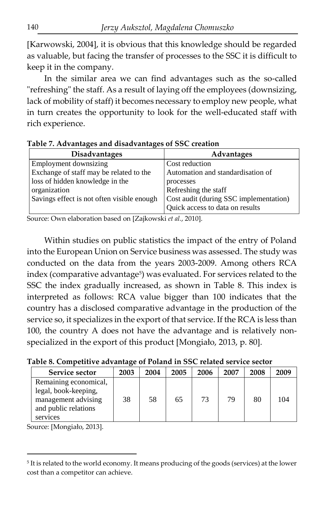[Karwowski, 2004], it is obvious that this knowledge should be regarded as valuable, but facing the transfer of processes to the SSC it is difficult to keep it in the company.

In the similar area we can find advantages such as the so-called "refreshing" the staff. As a result of laying off the employees (downsizing, lack of mobility of staff) it becomes necessary to employ new people, what in turn creates the opportunity to look for the well-educated staff with rich experience.

| <b>Disadvantages</b>                       | <b>Advantages</b>                      |  |  |  |  |
|--------------------------------------------|----------------------------------------|--|--|--|--|
| Employment downsizing                      | Cost reduction                         |  |  |  |  |
| Exchange of staff may be related to the    | Automation and standardisation of      |  |  |  |  |
| loss of hidden knowledge in the            | processes                              |  |  |  |  |
| organization                               | Refreshing the staff                   |  |  |  |  |
| Savings effect is not often visible enough | Cost audit (during SSC implementation) |  |  |  |  |
|                                            | Quick access to data on results        |  |  |  |  |

**Table 7. Advantages and disadvantages of SSC creation**

Source: Own elaboration based on [Zajkowski *et al.*, 2010].

Within studies on public statistics the impact of the entry of Poland into the European Union on Service business was assessed. The study was conducted on the data from the years 2003-2009. Among others RCA index (comparative advantage<sup>5</sup>) was evaluated. For services related to the SSC the index gradually increased, as shown in Table 8. This index is interpreted as follows: RCA value bigger than 100 indicates that the country has a disclosed comparative advantage in the production of the service so, it specializes in the export of that service. If the RCA is less than 100, the country A does not have the advantage and is relatively nonspecialized in the export of this product [Mongiało, 2013, p. 80].

**Table 8. Competitive advantage of Poland in SSC related service sector**

| Service sector                                          | 2003 | 2004 | 2005 | 2006 | 2007 | 2008 | 2009 |
|---------------------------------------------------------|------|------|------|------|------|------|------|
| Remaining economical,<br>legal, book-keeping,           |      |      |      |      |      |      |      |
| management advising<br>and public relations<br>services | 38   | 58   | 65   | 73   | 79   | 80   | 104  |

Source: [Mongiało, 2013].

 $\overline{a}$ 

<sup>5</sup> It is related to the world economy. It means producing of the goods (services) at the lower cost than a competitor can achieve.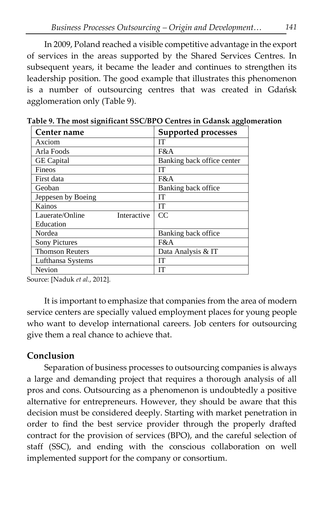In 2009, Poland reached a visible competitive advantage in the export of services in the areas supported by the Shared Services Centres. In subsequent years, it became the leader and continues to strengthen its leadership position. The good example that illustrates this phenomenon is a number of outsourcing centres that was created in Gdańsk agglomeration only (Table 9).

| Center name                    | <b>Supported processes</b> |
|--------------------------------|----------------------------|
| Axciom                         | IT                         |
| Arla Foods                     | F&A                        |
| <b>GE</b> Capital              | Banking back office center |
| Fineos                         | <b>TT</b>                  |
| First data                     | F&A                        |
| Geoban                         | Banking back office        |
| Jeppesen by Boeing             | <b>IT</b>                  |
| Kainos                         | <b>IT</b>                  |
| Lauerate/Online<br>Interactive | CC                         |
| Education                      |                            |
| Nordea                         | Banking back office        |
| <b>Sony Pictures</b>           | FA                         |
| <b>Thomson Reuters</b>         | Data Analysis & IT         |
| Lufthansa Systems              | IТ                         |
| Nevion                         | <b>IT</b>                  |

**Table 9. The most significant SSC/BPO Centres in Gdansk agglomeration**

Source: [Naduk *et al.*, 2012].

It is important to emphasize that companies from the area of modern service centers are specially valued employment places for young people who want to develop international careers. Job centers for outsourcing give them a real chance to achieve that.

### **Conclusion**

Separation of business processes to outsourcing companies is always a large and demanding project that requires a thorough analysis of all pros and cons. Outsourcing as a phenomenon is undoubtedly a positive alternative for entrepreneurs. However, they should be aware that this decision must be considered deeply. Starting with market penetration in order to find the best service provider through the properly drafted contract for the provision of services (BPO), and the careful selection of staff (SSC), and ending with the conscious collaboration on well implemented support for the company or consortium.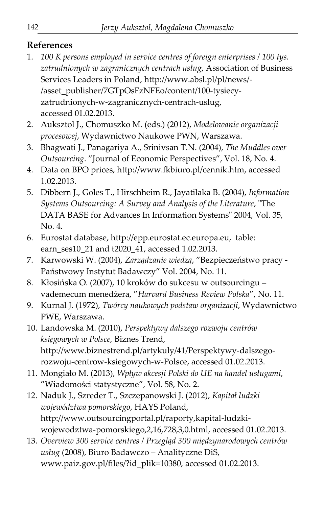# **References**

- 1. *100 K persons employed in service centres of foreign enterprises / 100 tys. zatrudnionych w zagranicznych centrach usług*, Association of Business Services Leaders in Poland, http://www.absl.pl/pl/news/- /asset\_publisher/7GTpOsFzNFEo/content/100-tysiecyzatrudnionych-w-zagranicznych-centrach-uslug, accessed 01.02.2013.
- 2. Auksztol J., Chomuszko M. (eds.) (2012), *Modelowanie organizacji procesowej*, Wydawnictwo Naukowe PWN, Warszawa.
- 3. Bhagwati J., Panagariya A., Srinivsan T.N. (2004), *The Muddles over Outsourcing*. "Journal of Economic Perspectives", Vol. 18, No. 4.
- 4. Data on BPO prices, http://www.fkbiuro.pl/cennik.htm, accessed 1.02.2013.
- 5. Dibbern J., Goles T., Hirschheim R., Jayatilaka B. (2004), *Information Systems Outsourcing: A Survey and Analysis of the Literature*, "The DATA BASE for Advances In Information Systems" 2004, Vol. 35, No. 4.
- 6. Eurostat database, http://epp.eurostat.ec.europa.eu, table: earn\_ses10\_21 and t2020\_41, accessed 1.02.2013.
- 7. Karwowski W. (2004), *Zarządzanie wiedzą*, "Bezpieczeństwo pracy Państwowy Instytut Badawczy" Vol. 2004, No. 11.
- 8. Kłosińska O. (2007), 10 kroków do sukcesu w outsourcingu vademecum menedżera, "*Harvard Business Review Polska*", No. 11.
- 9. Kurnal J. (1972), *Twórcy naukowych podstaw organizacji*, Wydawnictwo PWE, Warszawa.
- 10. Landowska M. (2010), *Perspektywy dalszego rozwoju centrów księgowych w Polsce,* Biznes Trend, http://www.biznestrend.pl/artykuly/41/Perspektywy-dalszegorozwoju-centrow-ksiegowych-w-Polsce, accessed 01.02.2013.
- 11. Mongiało M. (2013), *Wpływ akcesji Polski do UE na handel usługami*, "Wiadomości statystyczne", Vol. 58, No. 2.
- 12. Naduk J., Szreder T., Szczepanowski J. (2012), *Kapitał ludzki województwa pomorskiego*, HAYS Poland, http://www.outsourcingportal.pl/raporty,kapital-ludzkiwojewodztwa-pomorskiego,2,16,728,3,0.html, accessed 01.02.2013.
- 13. *Overview 300 service centres / Przegląd 300 międzynarodowych centrów usług* (2008), Biuro Badawczo – Analityczne DiS, www.paiz.gov.pl/files/?id\_plik=10380, accessed 01.02.2013.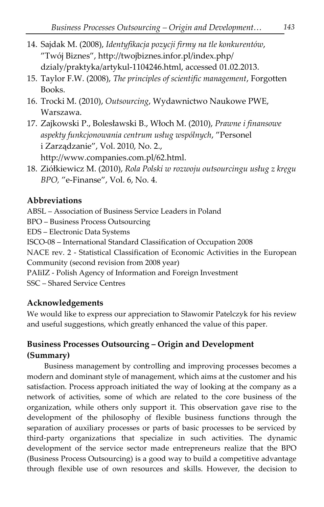- 14. Sajdak M. (2008), *Identyfikacja pozycji firmy na tle konkurentów*, "Twój Biznes", http://twojbiznes.infor.pl/index.php/ dzialy/praktyka/artykul-1104246.html, accessed 01.02.2013.
- 15. Taylor F.W. (2008), *The principles of scientific management*, Forgotten Books.
- 16. Trocki M. (2010), *Outsourcing*, Wydawnictwo Naukowe PWE, Warszawa.
- 17. Zajkowski P., Bolesławski B., Włoch M. (2010), *Prawne i finansowe aspekty funkcjonowania centrum usług wspólnych*, "Personel i Zarządzanie", Vol. 2010, No. 2., http://www.companies.com.pl/62.html.
- 18. Ziółkiewicz M. (2010), *Rola Polski w rozwoju outsourcingu usług z kręgu BPO,* "e-Finanse", Vol. 6, No. 4.

### **Abbreviations**

ABSL – Association of Business Service Leaders in Poland

BPO – Business Process Outsourcing

EDS – Electronic Data Systems

ISCO-08 – International Standard Classification of Occupation 2008

NACE rev. 2 - Statistical Classification of Economic Activities in the European

Community (second revision from 2008 year)

PAIiIZ - Polish Agency of Information and Foreign Investment

SSC – Shared Service Centres

### **Acknowledgements**

We would like to express our appreciation to Sławomir Patelczyk for his review and useful suggestions, which greatly enhanced the value of this paper.

### **Business Processes Outsourcing – Origin and Development (Summary)**

Business management by controlling and improving processes becomes a modern and dominant style of management, which aims at the customer and his satisfaction. Process approach initiated the way of looking at the company as a network of activities, some of which are related to the core business of the organization, while others only support it. This observation gave rise to the development of the philosophy of flexible business functions through the separation of auxiliary processes or parts of basic processes to be serviced by third-party organizations that specialize in such activities. The dynamic development of the service sector made entrepreneurs realize that the BPO (Business Process Outsourcing) is a good way to build a competitive advantage through flexible use of own resources and skills. However, the decision to